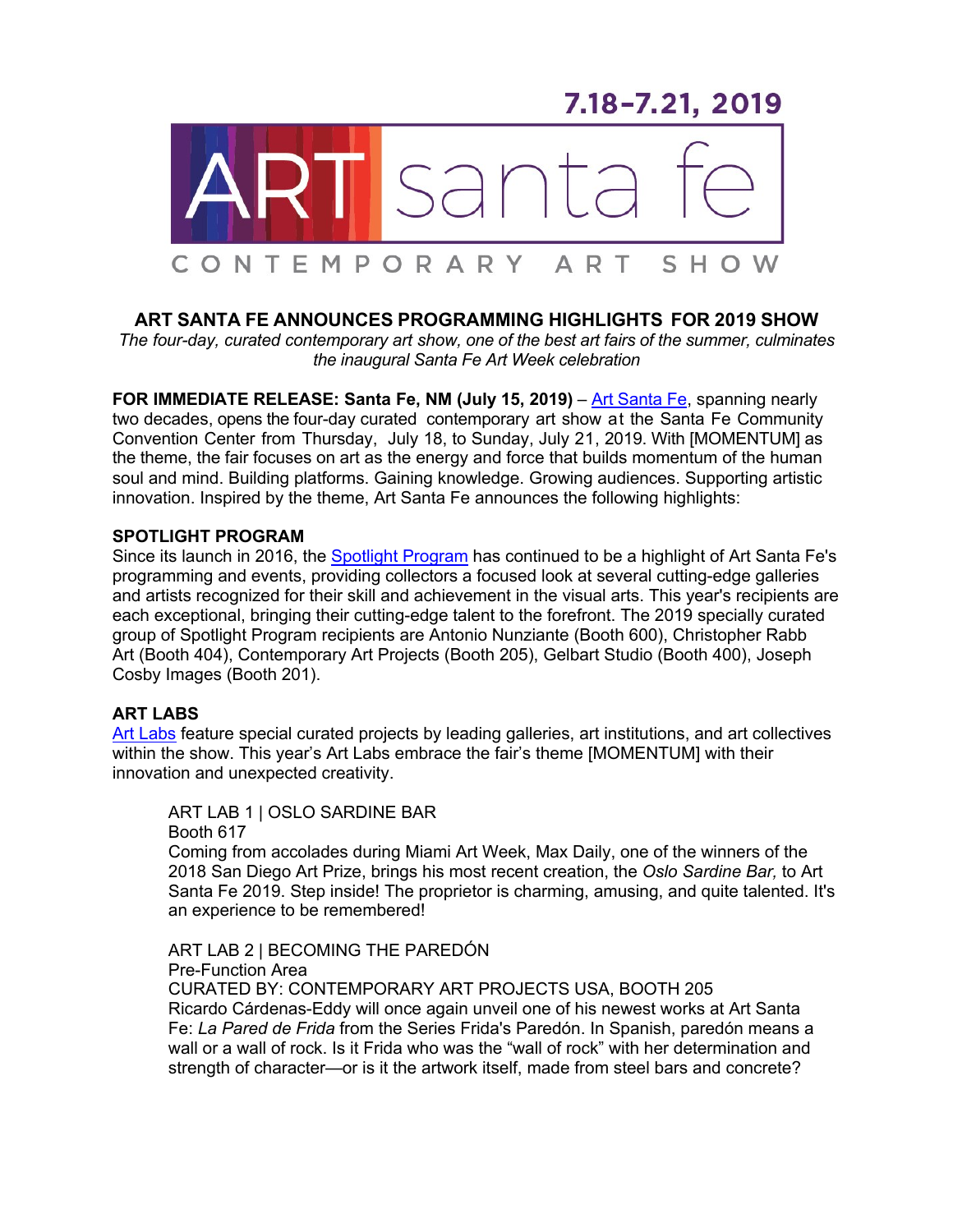7.18-7.21, 2019



# **ART SANTA FE ANNOUNCES PROGRAMMING HIGHLIGHTS FOR 2019 SHOW**

*The four-day, curated contemporary art show, one of the best art fairs of the summer, culminates the inaugural Santa Fe Art Week celebration*

**FOR IMMEDIATE RELEASE: Santa Fe, NM (July 15, 2019)** – Art Santa Fe, spanning nearly two decades, opens the four-day curated contemporary art show at the Santa Fe Community Convention Center from Thursday, July 18, to Sunday, July 21, 2019. With [MOMENTUM] as the theme, the fair focuses on art as the energy and force that builds momentum of the human soul and mind. Building platforms. Gaining knowledge. Growing audiences. Supporting artistic innovation. Inspired by the theme, Art Santa Fe announces the following highlights:

## **SPOTLIGHT PROGRAM**

Since its launch in 2016, the Spotlight Program has continued to be a highlight of Art Santa Fe's programming and events, providing collectors a focused look at several cutting-edge galleries and artists recognized for their skill and achievement in the visual arts. This year's recipients are each exceptional, bringing their cutting-edge talent to the forefront. The 2019 specially curated group of Spotlight Program recipients are Antonio Nunziante (Booth 600), Christopher Rabb Art (Booth 404), Contemporary Art Projects (Booth 205), Gelbart Studio (Booth 400), Joseph Cosby Images (Booth 201).

# **ART LABS**

Art Labs feature special curated projects by leading galleries, art institutions, and art collectives within the show. This year's Art Labs embrace the fair's theme [MOMENTUM] with their innovation and unexpected creativity.

ART LAB 1 | OSLO SARDINE BAR Booth 617 Coming from accolades during Miami Art Week, Max Daily, one of the winners of the 2018 San Diego Art Prize, brings his most recent creation, the *Oslo Sardine Bar,* to Art Santa Fe 2019. Step inside! The proprietor is charming, amusing, and quite talented. It's an experience to be remembered!

ART LAB 2 | BECOMING THE PAREDÓN Pre-Function Area CURATED BY: CONTEMPORARY ART PROJECTS USA, BOOTH 205 Ricardo Cárdenas-Eddy will once again unveil one of his newest works at Art Santa Fe: *La Pared de Frida* from the Series Frida's Paredón. In Spanish, paredón means a wall or a wall of rock. Is it Frida who was the "wall of rock" with her determination and strength of character—or is it the artwork itself, made from steel bars and concrete?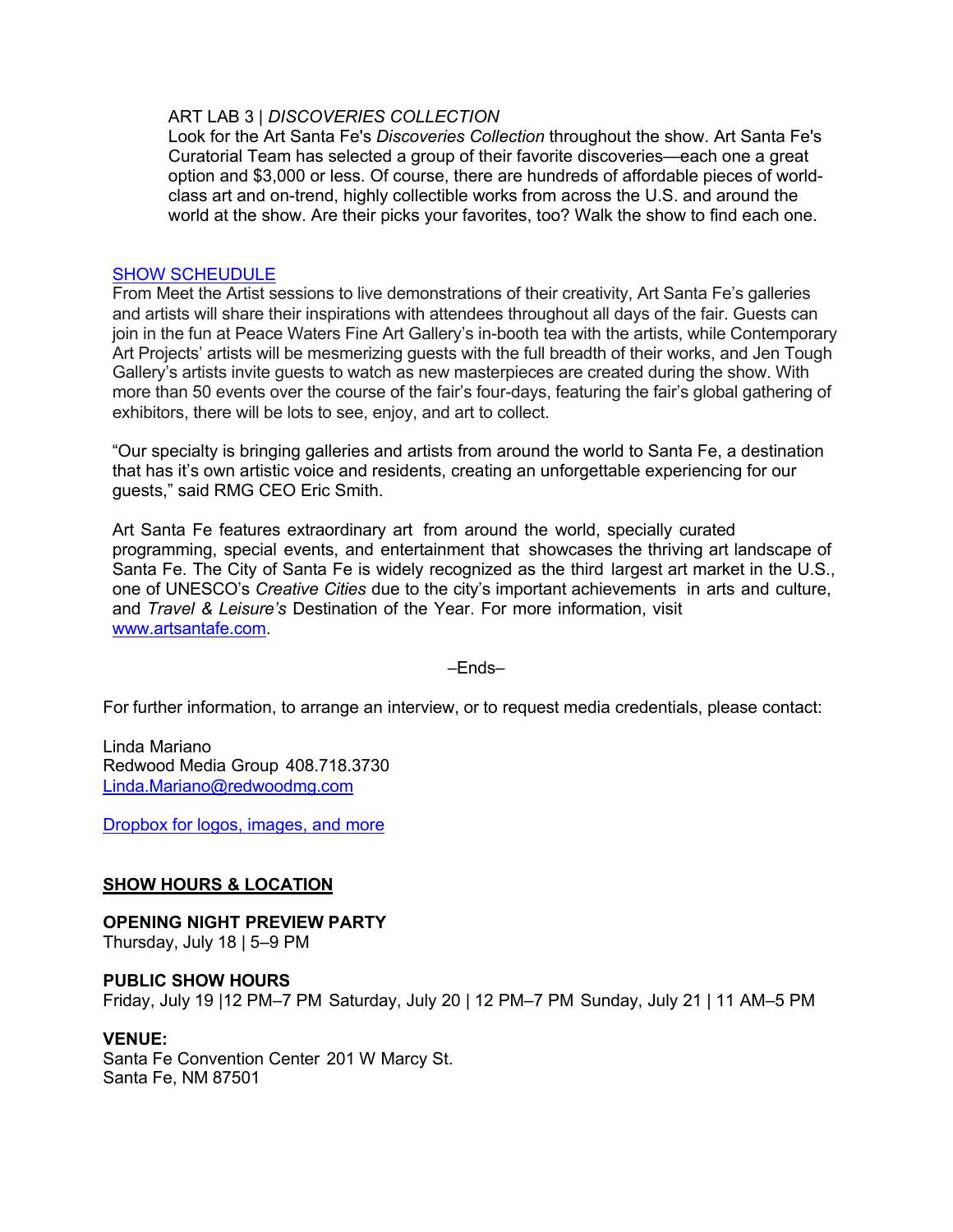## ART LAB 3 | *DISCOVERIES COLLECTION*

Look for the Art Santa Fe's *Discoveries Collection* throughout the show. Art Santa Fe's Curatorial Team has selected a group of their favorite discoveries—each one a great option and \$3,000 or less. Of course, there are hundreds of affordable pieces of worldclass art and on-trend, highly collectible works from across the U.S. and around the world at the show. Are their picks your favorites, too? Walk the show to find each one.

## SHOW SCHEUDULE

From Meet the Artist sessions to live demonstrations of their creativity, Art Santa Fe's galleries and artists will share their inspirations with attendees throughout all days of the fair. Guests can join in the fun at Peace Waters Fine Art Gallery's in-booth tea with the artists, while Contemporary Art Projects' artists will be mesmerizing guests with the full breadth of their works, and Jen Tough Gallery's artists invite guests to watch as new masterpieces are created during the show. With more than 50 events over the course of the fair's four-days, featuring the fair's global gathering of exhibitors, there will be lots to see, enjoy, and art to collect.

"Our specialty is bringing galleries and artists from around the world to Santa Fe, a destination that has it's own artistic voice and residents, creating an unforgettable experiencing for our guests," said RMG CEO Eric Smith.

Art Santa Fe features extraordinary art from around the world, specially curated programming, special events, and entertainment that showcases the thriving art landscape of Santa Fe. The City of Santa Fe is widely recognized as the third largest art market in the U.S., one of UNESCO's *Creative Cities* due to the city's important achievements in arts and culture, and *Travel & Leisure's* Destination of the Year. For more information, visit www.artsantafe.com.

#### –Ends–

For further information, to arrange an interview, or to request media credentials, please contact:

Linda Mariano Redwood Media Group 408.718.3730 Linda.Mariano@redwoodmg.com

Dropbox for logos, images, and more

# **SHOW HOURS & LOCATION**

# **OPENING NIGHT PREVIEW PARTY**

Thursday, July 18 | 5–9 PM

#### **PUBLIC SHOW HOURS**

Friday, July 19 |12 PM–7 PM Saturday, July 20 | 12 PM–7 PM Sunday, July 21 | 11 AM–5 PM

#### **VENUE:**

Santa Fe Convention Center 201 W Marcy St. Santa Fe, NM 87501